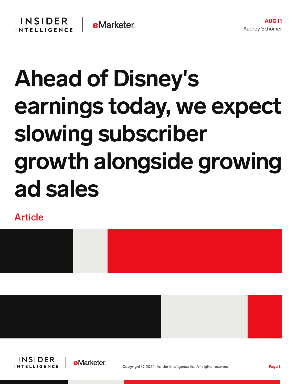## Ahead of Disney's earnings today, we expect slowing subscriber growth alongside growing ad sales

Article







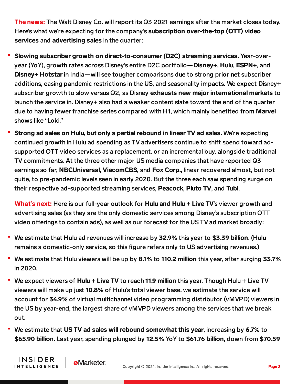The news: The Walt Disney Co. will report its Q3 2021 earnings after the market closes today. Here's what we're expecting for the company's subscription over-the-top (OTT) video services and advertising sales in the quarter:

- Slowing subscriber growth on direct-to-consumer (D2C) streaming services. Year-overyear (YoY), growth rates across Disney's entire D2C portfolio—Disney+, Hulu, ESPN+, and Disney+ Hotstar in India—will see tougher comparisons due to strong prior net subscriber additions, easing pandemic restrictions in the US, and seasonality impacts. We expect Disney+ subscriber growth to slow versus Q2, as Disney exhausts new major international markets to launch the service in. Disney+ also had a weaker content slate toward the end of the quarter due to having fewer franchise series compared with H1, which mainly benefited from Marvel shows like "Loki."
- Strong ad sales on Hulu, but only a partial rebound in linear TV ad sales. We're expecting continued growth in Hulu ad spending as TV advertisers continue to shift spend toward adsupported OTT video services as a replacement, or an incremental buy, alongside traditional TV commitments. At the three other major US media companies that have reported Q3 earnings so far, NBCUniversal, ViacomCBS, and Fox Corp., linear recovered almost, but not quite, to pre-pandemic levels seen in early 2020. But the three each saw spending surge on their respective ad-supported streaming services, Peacock, Pluto TV, and Tubi.

What's next: Here is our full-year outlook for **Hulu and Hulu + Live TV**'s viewer growth and advertising sales (as they are the only domestic services among Disney's subscription OTT video offerings to contain ads), as well as our forecast for the US TV ad market broadly:

- We estimate that Hulu ad revenues will increase by 32.9% this year to \$3.39 billion. (Hulu remains a domestic-only service, so this figure refers only to US advertising revenues.)
- We estimate that Hulu viewers will be up by 8.1% to 110.2 million this year, after surging 33.7% in 2020.
- We expect viewers of Hulu + Live TV to reach 11.9 million this year. Though Hulu + Live TV viewers will make up just 10.8% of Hulu's total viewer base, we estimate the service will account for 34.9% of virtual multichannel video programming distributor (vMVPD) viewers in the US by year-end, the largest share of vMVPD viewers among the services that we break out.
- We estimate that US TV ad sales will rebound somewhat this year, increasing by 6.7% to \$65.90 billion. Last year, spending plunged by 12.5% YoY to \$61.76 billion, down from \$70.59

**INSIDER** 

**INTELLIGENCE** 

**e**Marketer